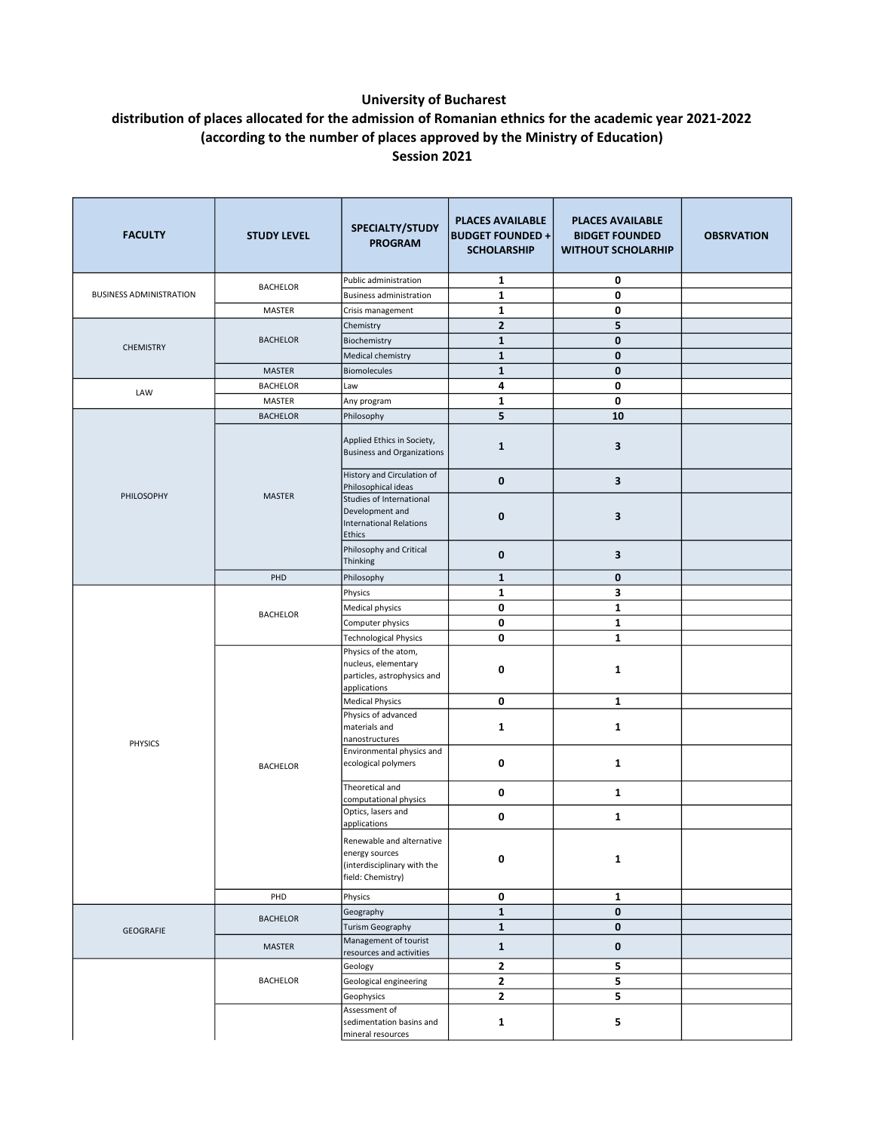## University of Bucharest

## distribution of places allocated for the admission of Romanian ethnics for the academic year 2021-2022 (according to the number of places approved by the Ministry of Education) Session 2021

| <b>FACULTY</b>                 | <b>STUDY LEVEL</b>                 | SPECIALTY/STUDY<br><b>PROGRAM</b>                                                                       | <b>PLACES AVAILABLE</b><br><b>BUDGET FOUNDED +</b><br><b>SCHOLARSHIP</b> | <b>PLACES AVAILABLE</b><br><b>BIDGET FOUNDED</b><br><b>WITHOUT SCHOLARHIP</b> | <b>OBSRVATION</b> |
|--------------------------------|------------------------------------|---------------------------------------------------------------------------------------------------------|--------------------------------------------------------------------------|-------------------------------------------------------------------------------|-------------------|
|                                |                                    | Public administration                                                                                   | 1                                                                        | 0                                                                             |                   |
| <b>BUSINESS ADMINISTRATION</b> | <b>BACHELOR</b>                    | <b>Business administration</b>                                                                          | $\mathbf{1}$                                                             | 0                                                                             |                   |
|                                | MASTER                             | Crisis management                                                                                       | 1                                                                        | 0                                                                             |                   |
| <b>CHEMISTRY</b>               | <b>BACHELOR</b>                    | Chemistry                                                                                               | $\mathbf{2}$                                                             | 5                                                                             |                   |
|                                |                                    | Biochemistry                                                                                            | $\mathbf{1}$                                                             | $\mathbf 0$                                                                   |                   |
|                                |                                    | Medical chemistry                                                                                       | $\mathbf{1}$                                                             | $\mathbf{0}$                                                                  |                   |
|                                | MASTER                             | Biomolecules                                                                                            | $\mathbf{1}$                                                             | $\mathbf 0$                                                                   |                   |
| LAW                            | <b>BACHELOR</b>                    | Law                                                                                                     | 4                                                                        | 0                                                                             |                   |
|                                | MASTER                             | Any program                                                                                             | $\mathbf{1}$                                                             | 0                                                                             |                   |
|                                | <b>BACHELOR</b>                    | Philosophy                                                                                              | 5                                                                        | 10                                                                            |                   |
|                                | <b>MASTER</b>                      | Applied Ethics in Society,<br><b>Business and Organizations</b>                                         | $\mathbf{1}$                                                             | 3                                                                             |                   |
|                                |                                    | History and Circulation of                                                                              | $\mathbf 0$                                                              | 3                                                                             |                   |
| PHILOSOPHY                     |                                    | Philosophical ideas<br>Studies of International<br>Development and<br>International Relations<br>Ethics | 0                                                                        | 3                                                                             |                   |
|                                |                                    | Philosophy and Critical<br>Thinking                                                                     | $\mathbf 0$                                                              | 3                                                                             |                   |
|                                | PHD                                | Philosophy                                                                                              | $\mathbf{1}$                                                             | $\bf{0}$                                                                      |                   |
|                                |                                    | Physics                                                                                                 | $\mathbf{1}$                                                             | 3                                                                             |                   |
| <b>PHYSICS</b>                 | <b>BACHELOR</b><br><b>BACHELOR</b> | <b>Medical physics</b>                                                                                  | 0                                                                        | $\mathbf{1}$                                                                  |                   |
|                                |                                    | Computer physics                                                                                        | 0                                                                        | $\mathbf 1$                                                                   |                   |
|                                |                                    | <b>Technological Physics</b>                                                                            | 0                                                                        | $\mathbf{1}$                                                                  |                   |
|                                |                                    | Physics of the atom,<br>nucleus, elementary<br>particles, astrophysics and<br>applications              | 0                                                                        | $\mathbf{1}$                                                                  |                   |
|                                |                                    | <b>Medical Physics</b>                                                                                  | 0                                                                        | $\mathbf{1}$                                                                  |                   |
|                                |                                    | Physics of advanced<br>materials and<br>nanostructures                                                  | 1                                                                        | 1                                                                             |                   |
|                                |                                    | Environmental physics and<br>ecological polymers                                                        | 0                                                                        | 1                                                                             |                   |
|                                |                                    | Theoretical and<br>computational physics                                                                | 0                                                                        | 1                                                                             |                   |
|                                |                                    | Optics, lasers and<br>applications                                                                      | 0                                                                        | $\mathbf{1}$                                                                  |                   |
|                                |                                    | Renewable and alternative<br>energy sources<br>(interdisciplinary with the<br>field: Chemistry)         | 0                                                                        | $\mathbf{1}$                                                                  |                   |
|                                | PHD                                | Physics                                                                                                 | 0                                                                        | $\mathbf{1}$                                                                  |                   |
| <b>GEOGRAFIE</b>               | <b>BACHELOR</b>                    | Geography                                                                                               | $\mathbf{1}$                                                             | $\mathbf 0$                                                                   |                   |
|                                |                                    | Turism Geography                                                                                        | $\mathbf{1}$                                                             | $\bf{0}$                                                                      |                   |
|                                | MASTER                             | Management of tourist<br>resources and activities                                                       | $\mathbf{1}$                                                             | 0                                                                             |                   |
|                                | <b>BACHELOR</b>                    | Geology                                                                                                 | $\mathbf{2}$                                                             | 5                                                                             |                   |
|                                |                                    | Geological engineering                                                                                  | $\mathbf{2}$                                                             | 5                                                                             |                   |
|                                |                                    | Geophysics                                                                                              | $\mathbf{2}$                                                             | 5                                                                             |                   |
|                                |                                    | Assessment of<br>sedimentation basins and<br>mineral resources                                          | 1                                                                        | 5                                                                             |                   |